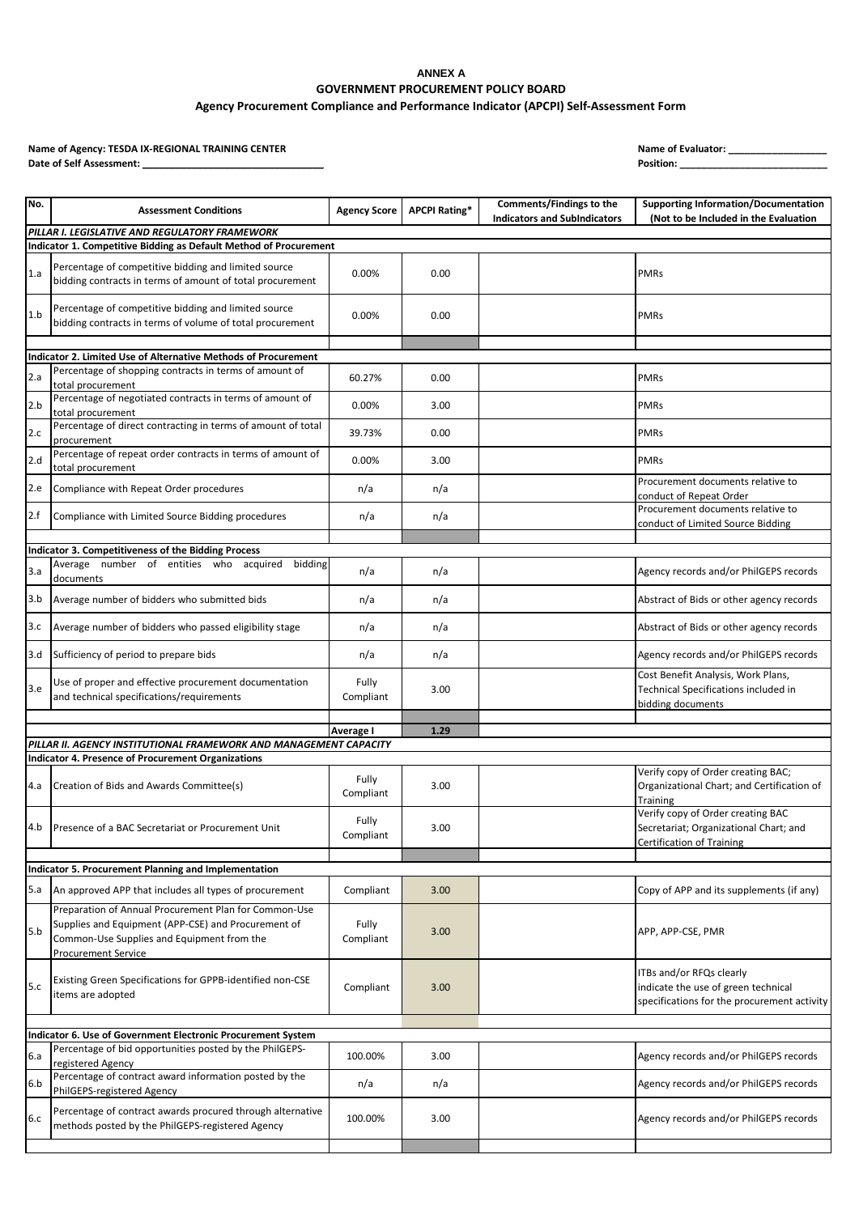## **ANNEX A GOVERNMENT PROCUREMENT POLICY BOARD Agency Procurement Compliance and Performance Indicator (APCPI) Self-Assessment Form**

**Name of Agency: TESDA IX-REGIONAL TRAINING CENTER Name of Evaluator: \_\_\_\_\_\_\_\_\_\_\_\_\_\_\_\_\_\_** Date of Self Assessment: \_

| No. | <b>Assessment Conditions</b>                                                                                                    | <b>Agency Score</b> | <b>APCPI Rating*</b> | Comments/Findings to the<br><b>Indicators and SubIndicators</b> | <b>Supporting Information/Documentation</b><br>(Not to be Included in the Evaluation                            |  |  |
|-----|---------------------------------------------------------------------------------------------------------------------------------|---------------------|----------------------|-----------------------------------------------------------------|-----------------------------------------------------------------------------------------------------------------|--|--|
|     | PILLAR I. LEGISLATIVE AND REGULATORY FRAMEWORK<br>Indicator 1. Competitive Bidding as Default Method of Procurement             |                     |                      |                                                                 |                                                                                                                 |  |  |
| 1.a | Percentage of competitive bidding and limited source<br>bidding contracts in terms of amount of total procurement               | 0.00%               | 0.00                 |                                                                 | <b>PMRs</b>                                                                                                     |  |  |
| 1.b | Percentage of competitive bidding and limited source<br>bidding contracts in terms of volume of total procurement               | 0.00%               | 0.00                 |                                                                 | <b>PMRs</b>                                                                                                     |  |  |
|     |                                                                                                                                 |                     |                      |                                                                 |                                                                                                                 |  |  |
|     | Indicator 2. Limited Use of Alternative Methods of Procurement                                                                  |                     |                      |                                                                 |                                                                                                                 |  |  |
| 2.a | Percentage of shopping contracts in terms of amount of<br>total procurement                                                     | 60.27%              | 0.00                 |                                                                 | <b>PMRs</b>                                                                                                     |  |  |
| 2.b | Percentage of negotiated contracts in terms of amount of<br>total procurement                                                   | 0.00%               | 3.00                 |                                                                 | <b>PMRs</b>                                                                                                     |  |  |
| 2.c | Percentage of direct contracting in terms of amount of total<br>procurement                                                     | 39.73%              | 0.00                 |                                                                 | <b>PMRs</b>                                                                                                     |  |  |
| 2.d | Percentage of repeat order contracts in terms of amount of<br>total procurement                                                 | 0.00%               | 3.00                 |                                                                 | <b>PMRs</b>                                                                                                     |  |  |
| 2.e | Compliance with Repeat Order procedures                                                                                         | n/a                 | n/a                  |                                                                 | Procurement documents relative to<br>conduct of Repeat Order                                                    |  |  |
| 2.f | Compliance with Limited Source Bidding procedures                                                                               | n/a                 | n/a                  |                                                                 | Procurement documents relative to<br>conduct of Limited Source Bidding                                          |  |  |
|     |                                                                                                                                 |                     |                      |                                                                 |                                                                                                                 |  |  |
|     | Indicator 3. Competitiveness of the Bidding Process<br>Average number of entities who acquired bidding                          |                     |                      |                                                                 |                                                                                                                 |  |  |
| 3.a | documents                                                                                                                       | n/a                 | n/a                  |                                                                 | Agency records and/or PhilGEPS records                                                                          |  |  |
| 3.b | Average number of bidders who submitted bids                                                                                    | n/a                 | n/a                  |                                                                 | Abstract of Bids or other agency records                                                                        |  |  |
| 3.c | Average number of bidders who passed eligibility stage                                                                          | n/a                 | n/a                  |                                                                 | Abstract of Bids or other agency records                                                                        |  |  |
| 3.d | Sufficiency of period to prepare bids                                                                                           | n/a                 | n/a                  |                                                                 | Agency records and/or PhilGEPS records                                                                          |  |  |
| 3.e | Use of proper and effective procurement documentation<br>and technical specifications/requirements                              | Fully<br>Compliant  | 3.00                 |                                                                 | Cost Benefit Analysis, Work Plans,<br>Technical Specifications included in<br>bidding documents                 |  |  |
|     |                                                                                                                                 | Average I           | 1.29                 |                                                                 |                                                                                                                 |  |  |
|     | PILLAR II. AGENCY INSTITUTIONAL FRAMEWORK AND MANAGEMENT CAPACITY                                                               |                     |                      |                                                                 |                                                                                                                 |  |  |
|     | <b>Indicator 4. Presence of Procurement Organizations</b>                                                                       |                     |                      |                                                                 |                                                                                                                 |  |  |
| 4.a | Creation of Bids and Awards Committee(s)                                                                                        | Fully<br>Compliant  | 3.00                 |                                                                 | Verify copy of Order creating BAC;<br>Organizational Chart; and Certification of<br>Training                    |  |  |
| 4.b | Presence of a BAC Secretariat or Procurement Unit                                                                               | Fully<br>Compliant  | 3.00                 |                                                                 | Verify copy of Order creating BAC<br>Secretariat; Organizational Chart; and<br><b>Certification of Training</b> |  |  |
|     |                                                                                                                                 |                     |                      |                                                                 |                                                                                                                 |  |  |
|     | Indicator 5. Procurement Planning and Implementation                                                                            |                     |                      |                                                                 |                                                                                                                 |  |  |
| 5.a | An approved APP that includes all types of procurement<br>Preparation of Annual Procurement Plan for Common-Use                 | Compliant           | 3.00                 |                                                                 | Copy of APP and its supplements (if any)                                                                        |  |  |
| 5.b | Supplies and Equipment (APP-CSE) and Procurement of<br>Common-Use Supplies and Equipment from the<br><b>Procurement Service</b> | Fully<br>Compliant  | 3.00                 |                                                                 | APP, APP-CSE, PMR                                                                                               |  |  |
| 5.c | Existing Green Specifications for GPPB-identified non-CSE<br>items are adopted                                                  | Compliant           | 3.00                 |                                                                 | ITBs and/or RFQs clearly<br>indicate the use of green technical<br>specifications for the procurement activity  |  |  |
|     |                                                                                                                                 |                     |                      |                                                                 |                                                                                                                 |  |  |
|     | Indicator 6. Use of Government Electronic Procurement System<br>Percentage of bid opportunities posted by the PhilGEPS-         |                     |                      |                                                                 |                                                                                                                 |  |  |
| 6.a | registered Agency<br>Percentage of contract award information posted by the                                                     | 100.00%             | 3.00                 |                                                                 | Agency records and/or PhilGEPS records                                                                          |  |  |
| 6.b | PhilGEPS-registered Agency                                                                                                      | n/a                 | n/a                  |                                                                 | Agency records and/or PhilGEPS records                                                                          |  |  |
| 6.c | Percentage of contract awards procured through alternative<br>methods posted by the PhilGEPS-registered Agency                  | 100.00%             | 3.00                 |                                                                 | Agency records and/or PhilGEPS records                                                                          |  |  |
|     |                                                                                                                                 |                     |                      |                                                                 |                                                                                                                 |  |  |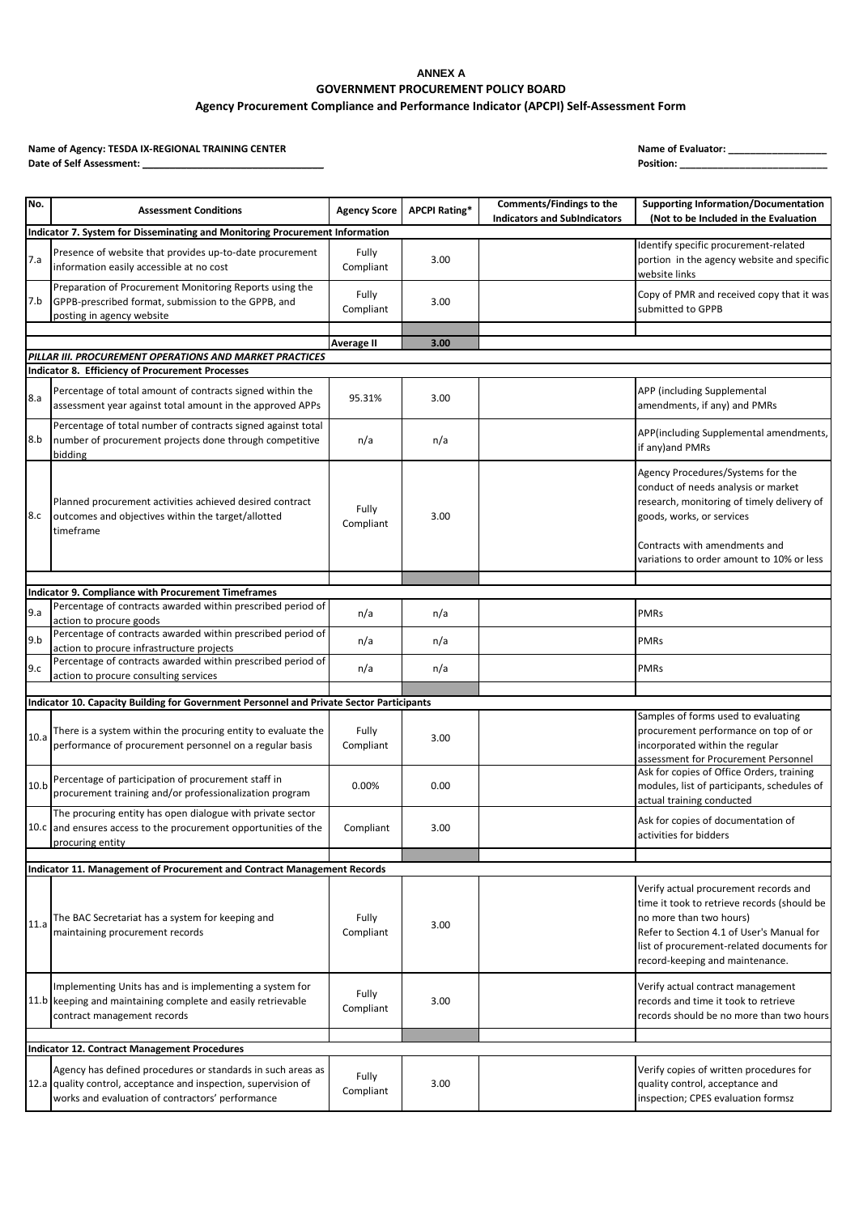## **ANNEX A GOVERNMENT PROCUREMENT POLICY BOARD**

## **Agency Procurement Compliance and Performance Indicator (APCPI) Self-Assessment Form**

**Name of Agency: TESDA IX-REGIONAL TRAINING CENTER Name of Evaluator: \_\_\_\_\_\_\_\_\_\_\_\_\_\_\_\_\_\_** Date of Self Assessment: \_

|  | ame of Evaluator: |  |
|--|-------------------|--|
|  |                   |  |

| No.                                                                          | <b>Assessment Conditions</b>                                                                                                                                                       | <b>Agency Score</b> | <b>APCPI Rating*</b> | Comments/Findings to the<br><b>Indicators and SubIndicators</b> | <b>Supporting Information/Documentation</b><br>(Not to be Included in the Evaluation                                                                                                                                                         |  |
|------------------------------------------------------------------------------|------------------------------------------------------------------------------------------------------------------------------------------------------------------------------------|---------------------|----------------------|-----------------------------------------------------------------|----------------------------------------------------------------------------------------------------------------------------------------------------------------------------------------------------------------------------------------------|--|
| Indicator 7. System for Disseminating and Monitoring Procurement Information |                                                                                                                                                                                    |                     |                      |                                                                 |                                                                                                                                                                                                                                              |  |
| 7.a                                                                          | Presence of website that provides up-to-date procurement<br>information easily accessible at no cost                                                                               | Fully<br>Compliant  | 3.00                 |                                                                 | Identify specific procurement-related<br>portion in the agency website and specific<br>website links                                                                                                                                         |  |
| 7.b                                                                          | Preparation of Procurement Monitoring Reports using the<br>GPPB-prescribed format, submission to the GPPB, and<br>posting in agency website                                        | Fully<br>Compliant  | 3.00                 |                                                                 | Copy of PMR and received copy that it was<br>submitted to GPPB                                                                                                                                                                               |  |
|                                                                              |                                                                                                                                                                                    |                     | 3.00                 |                                                                 |                                                                                                                                                                                                                                              |  |
|                                                                              | PILLAR III. PROCUREMENT OPERATIONS AND MARKET PRACTICES                                                                                                                            | Average II          |                      |                                                                 |                                                                                                                                                                                                                                              |  |
|                                                                              | <b>Indicator 8. Efficiency of Procurement Processes</b>                                                                                                                            |                     |                      |                                                                 |                                                                                                                                                                                                                                              |  |
| 8.a                                                                          | Percentage of total amount of contracts signed within the<br>assessment year against total amount in the approved APPs                                                             | 95.31%              | 3.00                 |                                                                 | APP (including Supplemental<br>amendments, if any) and PMRs                                                                                                                                                                                  |  |
| 8.b                                                                          | Percentage of total number of contracts signed against total<br>number of procurement projects done through competitive<br>bidding                                                 | n/a                 | n/a                  |                                                                 | APP(including Supplemental amendments,<br>if any) and PMRs                                                                                                                                                                                   |  |
| 8.c                                                                          | Planned procurement activities achieved desired contract<br>outcomes and objectives within the target/allotted<br>timeframe                                                        | Fully<br>Compliant  | 3.00                 |                                                                 | Agency Procedures/Systems for the<br>conduct of needs analysis or market<br>research, monitoring of timely delivery of<br>goods, works, or services                                                                                          |  |
|                                                                              |                                                                                                                                                                                    |                     |                      |                                                                 | Contracts with amendments and<br>variations to order amount to 10% or less                                                                                                                                                                   |  |
|                                                                              |                                                                                                                                                                                    |                     |                      |                                                                 |                                                                                                                                                                                                                                              |  |
|                                                                              | Indicator 9. Compliance with Procurement Timeframes                                                                                                                                |                     |                      |                                                                 |                                                                                                                                                                                                                                              |  |
| 9.a                                                                          | Percentage of contracts awarded within prescribed period of                                                                                                                        | n/a                 | n/a                  |                                                                 | <b>PMRs</b>                                                                                                                                                                                                                                  |  |
|                                                                              | action to procure goods<br>Percentage of contracts awarded within prescribed period of                                                                                             |                     |                      |                                                                 |                                                                                                                                                                                                                                              |  |
| 9.b                                                                          | action to procure infrastructure projects                                                                                                                                          | n/a                 | n/a                  |                                                                 | <b>PMRs</b>                                                                                                                                                                                                                                  |  |
| 9.c                                                                          | Percentage of contracts awarded within prescribed period of<br>action to procure consulting services                                                                               | n/a                 | n/a                  |                                                                 | <b>PMRs</b>                                                                                                                                                                                                                                  |  |
|                                                                              |                                                                                                                                                                                    |                     |                      |                                                                 |                                                                                                                                                                                                                                              |  |
|                                                                              | Indicator 10. Capacity Building for Government Personnel and Private Sector Participants                                                                                           |                     |                      |                                                                 | Samples of forms used to evaluating                                                                                                                                                                                                          |  |
| 10.a                                                                         | There is a system within the procuring entity to evaluate the<br>performance of procurement personnel on a regular basis                                                           | Fully<br>Compliant  | 3.00                 |                                                                 | procurement performance on top of or<br>incorporated within the regular<br>assessment for Procurement Personnel                                                                                                                              |  |
| 10.b                                                                         | Percentage of participation of procurement staff in<br>procurement training and/or professionalization program                                                                     | 0.00%               | 0.00                 |                                                                 | Ask for copies of Office Orders, training<br>modules, list of participants, schedules of<br>actual training conducted                                                                                                                        |  |
|                                                                              | The procuring entity has open dialogue with private sector<br>10.c and ensures access to the procurement opportunities of the<br>procuring entity                                  | Compliant           | 3.00                 |                                                                 | Ask for copies of documentation of<br>activities for bidders                                                                                                                                                                                 |  |
|                                                                              |                                                                                                                                                                                    |                     |                      |                                                                 |                                                                                                                                                                                                                                              |  |
|                                                                              | Indicator 11. Management of Procurement and Contract Management Records                                                                                                            |                     |                      |                                                                 |                                                                                                                                                                                                                                              |  |
| 11.a                                                                         | The BAC Secretariat has a system for keeping and<br>maintaining procurement records                                                                                                | Fully<br>Compliant  | 3.00                 |                                                                 | Verify actual procurement records and<br>time it took to retrieve records (should be<br>no more than two hours)<br>Refer to Section 4.1 of User's Manual for<br>list of procurement-related documents for<br>record-keeping and maintenance. |  |
|                                                                              | Implementing Units has and is implementing a system for<br>11.b keeping and maintaining complete and easily retrievable<br>contract management records                             | Fully<br>Compliant  | 3.00                 |                                                                 | Verify actual contract management<br>records and time it took to retrieve<br>records should be no more than two hours                                                                                                                        |  |
|                                                                              |                                                                                                                                                                                    |                     |                      |                                                                 |                                                                                                                                                                                                                                              |  |
|                                                                              | <b>Indicator 12. Contract Management Procedures</b>                                                                                                                                |                     |                      |                                                                 |                                                                                                                                                                                                                                              |  |
|                                                                              | Agency has defined procedures or standards in such areas as<br>12.a quality control, acceptance and inspection, supervision of<br>works and evaluation of contractors' performance | Fully<br>Compliant  | 3.00                 |                                                                 | Verify copies of written procedures for<br>quality control, acceptance and<br>inspection; CPES evaluation formsz                                                                                                                             |  |